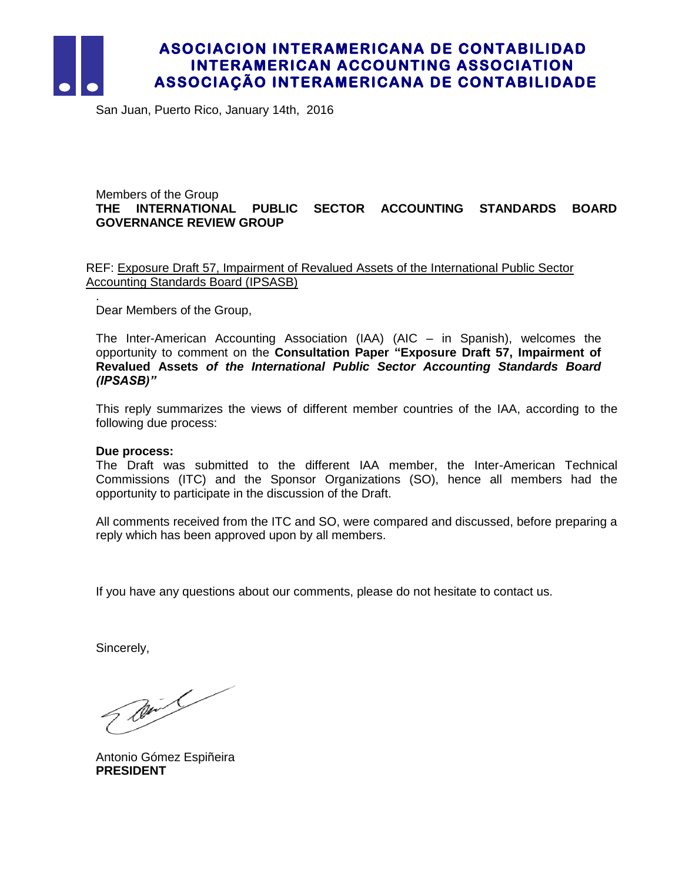

# **ASOCIACION INTERAMERICANA DE CONTABILIDAD INTERAMERICAN ACCOUNTING ASSOCIATION ASSOCIAÇÃO INTERAMERICANA DE CONTABILIDADE**

San Juan, Puerto Rico, January 14th, 2016

#### Members of the Group **THE INTERNATIONAL PUBLIC SECTOR ACCOUNTING STANDARDS BOARD GOVERNANCE REVIEW GROUP**

REF: Exposure Draft 57, Impairment of Revalued Assets of the International Public Sector Accounting Standards Board (IPSASB)

. Dear Members of the Group,

The Inter-American Accounting Association (IAA) (AIC – in Spanish), welcomes the opportunity to comment on the **Consultation Paper "Exposure Draft 57, Impairment of Revalued Assets** *of the International Public Sector Accounting Standards Board (IPSASB)"*

This reply summarizes the views of different member countries of the IAA, according to the following due process:

#### **Due process:**

The Draft was submitted to the different IAA member, the Inter-American Technical Commissions (ITC) and the Sponsor Organizations (SO), hence all members had the opportunity to participate in the discussion of the Draft.

All comments received from the ITC and SO, were compared and discussed, before preparing a reply which has been approved upon by all members.

If you have any questions about our comments, please do not hesitate to contact us.

Sincerely,

Wind and the Saint

Antonio Gómez Espiñeira **PRESIDENT**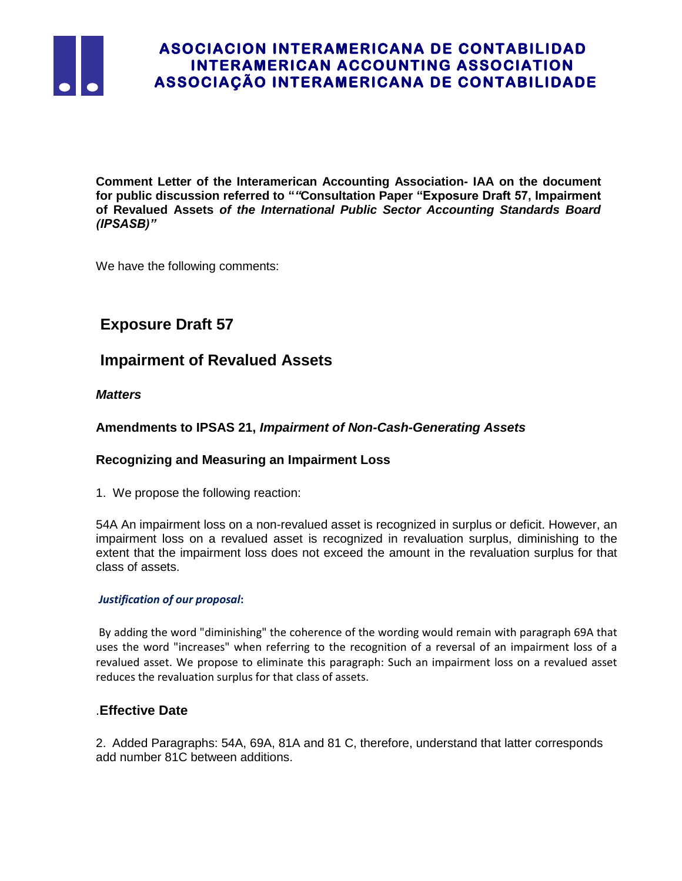

# **ASOCIACION INTERAMERICANA DE CONTABILIDAD INTERAMERICAN ACCOUNTING ASSOCIATION ASSOCIAÇÃO INTERAMERICANA DE CONTABILIDADE**

**Comment Letter of the Interamerican Accounting Association- IAA on the document for public discussion referred to "***"***Consultation Paper "Exposure Draft 57, Impairment of Revalued Assets** *of the International Public Sector Accounting Standards Board (IPSASB)"*

We have the following comments:

# **Exposure Draft 57**

# **Impairment of Revalued Assets**

### *Matters*

### **Amendments to IPSAS 21,** *Impairment of Non-Cash-Generating Assets*

### **Recognizing and Measuring an Impairment Loss**

1. We propose the following reaction:

54A An impairment loss on a non-revalued asset is recognized in surplus or deficit. However, an impairment loss on a revalued asset is recognized in revaluation surplus, diminishing to the extent that the impairment loss does not exceed the amount in the revaluation surplus for that class of assets.

#### *Justification of our proposal***:**

By adding the word "diminishing" the coherence of the wording would remain with paragraph 69A that uses the word "increases" when referring to the recognition of a reversal of an impairment loss of a revalued asset. We propose to eliminate this paragraph: Such an impairment loss on a revalued asset reduces the revaluation surplus for that class of assets.

### .**Effective Date**

2. Added Paragraphs: 54A, 69A, 81A and 81 C, therefore, understand that latter corresponds add number 81C between additions.